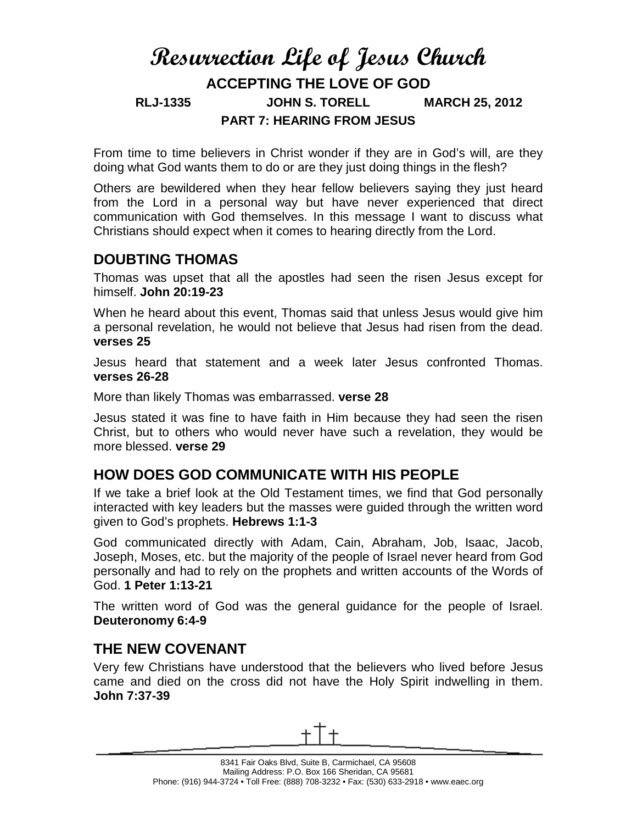# **Resurrection Life of Jesus Church ACCEPTING THE LOVE OF GOD RLJ-1335 JOHN S. TORELL MARCH 25, 2012 PART 7: HEARING FROM JESUS**

From time to time believers in Christ wonder if they are in God's will, are they doing what God wants them to do or are they just doing things in the flesh?

Others are bewildered when they hear fellow believers saying they just heard from the Lord in a personal way but have never experienced that direct communication with God themselves. In this message I want to discuss what Christians should expect when it comes to hearing directly from the Lord.

#### **DOUBTING THOMAS**

Thomas was upset that all the apostles had seen the risen Jesus except for himself. **John 20:19-23**

When he heard about this event, Thomas said that unless Jesus would give him a personal revelation, he would not believe that Jesus had risen from the dead. **verses 25**

Jesus heard that statement and a week later Jesus confronted Thomas. **verses 26-28**

More than likely Thomas was embarrassed. **verse 28**

Jesus stated it was fine to have faith in Him because they had seen the risen Christ, but to others who would never have such a revelation, they would be more blessed. **verse 29**

### **HOW DOES GOD COMMUNICATE WITH HIS PEOPLE**

If we take a brief look at the Old Testament times, we find that God personally interacted with key leaders but the masses were guided through the written word given to God's prophets. **Hebrews 1:1-3**

God communicated directly with Adam, Cain, Abraham, Job, Isaac, Jacob, Joseph, Moses, etc. but the majority of the people of Israel never heard from God personally and had to rely on the prophets and written accounts of the Words of God. **1 Peter 1:13-21**

The written word of God was the general guidance for the people of Israel. **Deuteronomy 6:4-9**

### **THE NEW COVENANT**

Very few Christians have understood that the believers who lived before Jesus came and died on the cross did not have the Holy Spirit indwelling in them. **John 7:37-39**